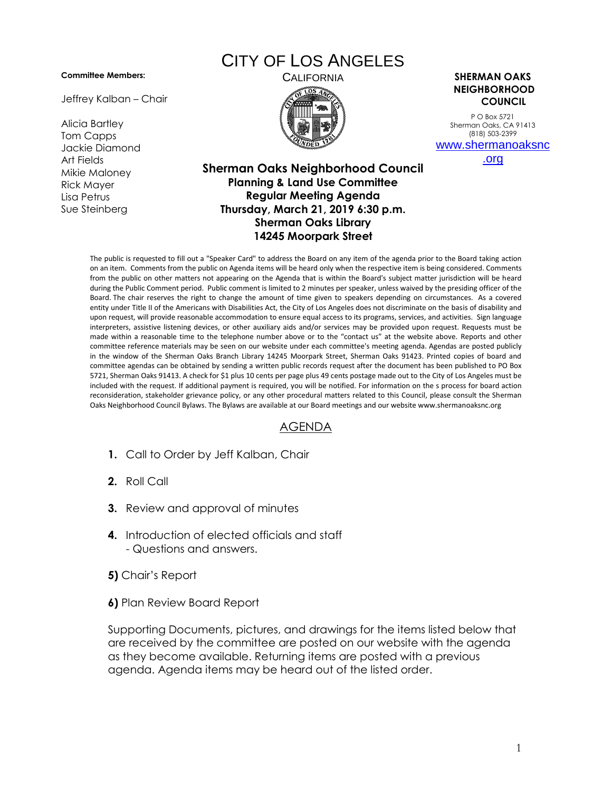## **Committee Members:**

Jeffrey Kalban – Chair

Alicia Bartley Tom Capps Jackie Diamond Art Fields Mikie Maloney Rick Mayer Lisa Petrus Sue Steinberg

## CITY OF LOS ANGELES



CALIFORNIA **SHERMAN OAKS NEIGHBORHOOD COUNCIL**

> P O Box 5721 Sherman Oaks, CA 91413 (818) 503-2399 [www.shermanoaksnc](http://www.shermanoaksnc.org/)

> > [.org](http://www.shermanoaksnc.org/)

## **Sherman Oaks Neighborhood Council Planning & Land Use Committee Regular Meeting Agenda Thursday, March 21, 2019 6:30 p.m. Sherman Oaks Library 14245 Moorpark Street**

The public is requested to fill out a "Speaker Card" to address the Board on any item of the agenda prior to the Board taking action on an item. Comments from the public on Agenda items will be heard only when the respective item is being considered. Comments from the public on other matters not appearing on the Agenda that is within the Board's subject matter jurisdiction will be heard during the Public Comment period. Public comment is limited to 2 minutes per speaker, unless waived by the presiding officer of the Board. The chair reserves the right to change the amount of time given to speakers depending on circumstances. As a covered entity under Title II of the Americans with Disabilities Act, the City of Los Angeles does not discriminate on the basis of disability and upon request, will provide reasonable accommodation to ensure equal access to its programs, services, and activities. Sign language interpreters, assistive listening devices, or other auxiliary aids and/or services may be provided upon request. Requests must be made within a reasonable time to the telephone number above or to the "contact us" at the website above. Reports and other committee reference materials may be seen on our website under each committee's meeting agenda. Agendas are posted publicly in the window of the Sherman Oaks Branch Library 14245 Moorpark Street, Sherman Oaks 91423. Printed copies of board and committee agendas can be obtained by sending a written public records request after the document has been published to PO Box 5721, Sherman Oaks 91413. A check for \$1 plus 10 cents per page plus 49 cents postage made out to the City of Los Angeles must be included with the request. If additional payment is required, you will be notified. For information on the s process for board action reconsideration, stakeholder grievance policy, or any other procedural matters related to this Council, please consult the Sherman Oaks Neighborhood Council Bylaws. The Bylaws are available at our Board meetings and our website www.shermanoaksnc.org

## AGENDA

- **1.** Call to Order by Jeff Kalban, Chair
- **2.** Roll Call
- **3.** Review and approval of minutes
- **4.** Introduction of elected officials and staff - Questions and answers.
- **5)** Chair's Report
- **6)** Plan Review Board Report

Supporting Documents, pictures, and drawings for the items listed below that are received by the committee are posted on our website with the agenda as they become available. Returning items are posted with a previous agenda. Agenda items may be heard out of the listed order.